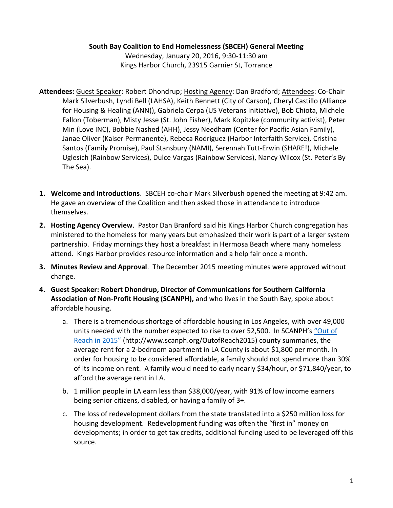## **South Bay Coalition to End Homelessness (SBCEH) General Meeting**

Wednesday, January 20, 2016, 9:30-11:30 am Kings Harbor Church, 23915 Garnier St, Torrance

- **Attendees:** Guest Speaker: Robert Dhondrup; Hosting Agency: Dan Bradford; Attendees: Co-Chair Mark Silverbush, Lyndi Bell (LAHSA), Keith Bennett (City of Carson), Cheryl Castillo (Alliance for Housing & Healing (ANN)), Gabriela Cerpa (US Veterans Initiative), Bob Chiota, Michele Fallon (Toberman), Misty Jesse (St. John Fisher), Mark Kopitzke (community activist), Peter Min (Love INC), Bobbie Nashed (AHH), Jessy Needham (Center for Pacific Asian Family), Janae Oliver (Kaiser Permanente), Rebeca Rodriguez (Harbor Interfaith Service), Cristina Santos (Family Promise), Paul Stansbury (NAMI), Serennah Tutt-Erwin (SHARE!), Michele Uglesich (Rainbow Services), Dulce Vargas (Rainbow Services), Nancy Wilcox (St. Peter's By The Sea).
- **1. Welcome and Introductions**. SBCEH co-chair Mark Silverbush opened the meeting at 9:42 am. He gave an overview of the Coalition and then asked those in attendance to introduce themselves.
- **2. Hosting Agency Overview**. Pastor Dan Branford said his Kings Harbor Church congregation has ministered to the homeless for many years but emphasized their work is part of a larger system partnership. Friday mornings they host a breakfast in Hermosa Beach where many homeless attend. Kings Harbor provides resource information and a help fair once a month.
- **3. Minutes Review and Approval**. The December 2015 meeting minutes were approved without change.
- **4. Guest Speaker: Robert Dhondrup, Director of Communications for Southern California Association of Non-Profit Housing (SCANPH),** and who lives in the South Bay, spoke about affordable housing.
	- a. There is a tremendous shortage of affordable housing in Los Angeles, with over 49,000 units needed with the number expected to rise to over 52,500. In SCANPH's "Out of [Reach in 2015"](http://www.scanph.org/OutofReach2015) (http://www.scanph.org/OutofReach2015) county summaries, the average rent for a 2-bedroom apartment in LA County is about \$1,800 per month. In order for housing to be considered affordable, a family should not spend more than 30% of its income on rent. A family would need to early nearly \$34/hour, or \$71,840/year, to afford the average rent in LA.
	- b. 1 million people in LA earn less than \$38,000/year, with 91% of low income earners being senior citizens, disabled, or having a family of 3+.
	- c. The loss of redevelopment dollars from the state translated into a \$250 million loss for housing development. Redevelopment funding was often the "first in" money on developments; in order to get tax credits, additional funding used to be leveraged off this source.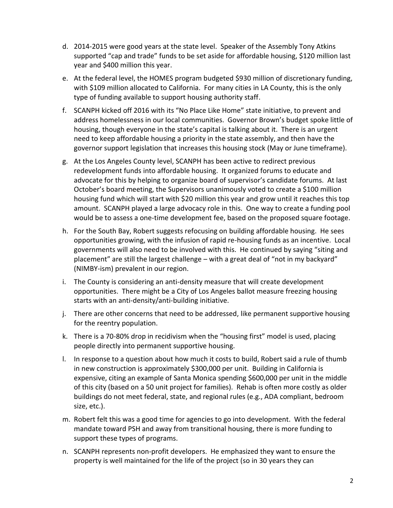- d. 2014-2015 were good years at the state level. Speaker of the Assembly Tony Atkins supported "cap and trade" funds to be set aside for affordable housing, \$120 million last year and \$400 million this year.
- e. At the federal level, the HOMES program budgeted \$930 million of discretionary funding, with \$109 million allocated to California. For many cities in LA County, this is the only type of funding available to support housing authority staff.
- f. SCANPH kicked off 2016 with its "No Place Like Home" state initiative, to prevent and address homelessness in our local communities. Governor Brown's budget spoke little of housing, though everyone in the state's capital is talking about it. There is an urgent need to keep affordable housing a priority in the state assembly, and then have the governor support legislation that increases this housing stock (May or June timeframe).
- g. At the Los Angeles County level, SCANPH has been active to redirect previous redevelopment funds into affordable housing. It organized forums to educate and advocate for this by helping to organize board of supervisor's candidate forums. At last October's board meeting, the Supervisors unanimously voted to create a \$100 million housing fund which will start with \$20 million this year and grow until it reaches this top amount. SCANPH played a large advocacy role in this. One way to create a funding pool would be to assess a one-time development fee, based on the proposed square footage.
- h. For the South Bay, Robert suggests refocusing on building affordable housing. He sees opportunities growing, with the infusion of rapid re-housing funds as an incentive. Local governments will also need to be involved with this. He continued by saying "siting and placement" are still the largest challenge – with a great deal of "not in my backyard" (NIMBY-ism) prevalent in our region.
- i. The County is considering an anti-density measure that will create development opportunities. There might be a City of Los Angeles ballot measure freezing housing starts with an anti-density/anti-building initiative.
- j. There are other concerns that need to be addressed, like permanent supportive housing for the reentry population.
- k. There is a 70-80% drop in recidivism when the "housing first" model is used, placing people directly into permanent supportive housing.
- l. In response to a question about how much it costs to build, Robert said a rule of thumb in new construction is approximately \$300,000 per unit. Building in California is expensive, citing an example of Santa Monica spending \$600,000 per unit in the middle of this city (based on a 50 unit project for families). Rehab is often more costly as older buildings do not meet federal, state, and regional rules (e.g., ADA compliant, bedroom size, etc.).
- m. Robert felt this was a good time for agencies to go into development. With the federal mandate toward PSH and away from transitional housing, there is more funding to support these types of programs.
- n. SCANPH represents non-profit developers. He emphasized they want to ensure the property is well maintained for the life of the project (so in 30 years they can